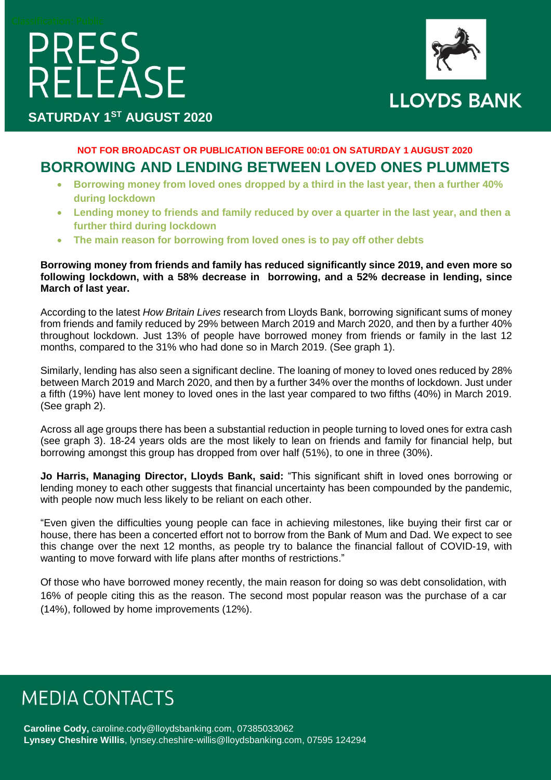# PRESS<br>RELEASE



**SATURDAY 1ST AUGUST 2020**

#### **NOT FOR BROADCAST OR PUBLICATION BEFORE 00:01 ON SATURDAY 1 AUGUST 2020 BORROWING AND LENDING BETWEEN LOVED ONES PLUMMETS**

- **Borrowing money from loved ones dropped by a third in the last year, then a further 40% during lockdown**
- **Lending money to friends and family reduced by over a quarter in the last year, and then a further third during lockdown**
- **The main reason for borrowing from loved ones is to pay off other debts**

#### **Borrowing money from friends and family has reduced significantly since 2019, and even more so following lockdown, with a 58% decrease in borrowing, and a 52% decrease in lending, since March of last year.**

According to the latest *How Britain Lives* research from Lloyds Bank, borrowing significant sums of money from friends and family reduced by 29% between March 2019 and March 2020, and then by a further 40% throughout lockdown. Just 13% of people have borrowed money from friends or family in the last 12 months, compared to the 31% who had done so in March 2019. (See graph 1).

Similarly, lending has also seen a significant decline. The loaning of money to loved ones reduced by 28% between March 2019 and March 2020, and then by a further 34% over the months of lockdown. Just under a fifth (19%) have lent money to loved ones in the last year compared to two fifths (40%) in March 2019. (See graph 2).

Across all age groups there has been a substantial reduction in people turning to loved ones for extra cash (see graph 3). 18-24 years olds are the most likely to lean on friends and family for financial help, but borrowing amongst this group has dropped from over half (51%), to one in three (30%).

**Jo Harris, Managing Director, Lloyds Bank, said:** "This significant shift in loved ones borrowing or lending money to each other suggests that financial uncertainty has been compounded by the pandemic, with people now much less likely to be reliant on each other.

"Even given the difficulties young people can face in achieving milestones, like buying their first car or house, there has been a concerted effort not to borrow from the Bank of Mum and Dad. We expect to see this change over the next 12 months, as people try to balance the financial fallout of COVID-19, with wanting to move forward with life plans after months of restrictions."

Of those who have borrowed money recently, the main reason for doing so was debt consolidation, with 16% of people citing this as the reason. The second most popular reason was the purchase of a car (14%), followed by home improvements (12%).

## **MEDIA CONTACTS**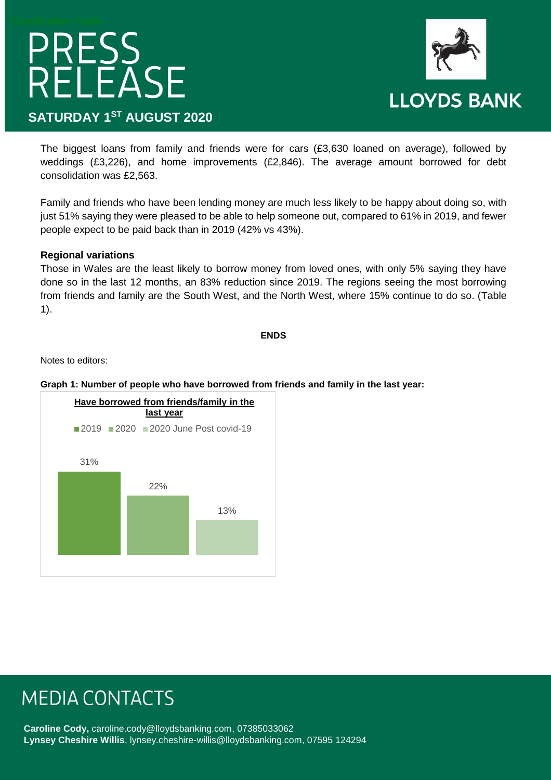# PRESS<br>RELEASE **SATURDAY 1ST AUGUST 2020**



The biggest loans from family and friends were for cars (£3,630 loaned on average), followed by weddings (£3,226), and home improvements (£2,846). The average amount borrowed for debt consolidation was £2,563.

Family and friends who have been lending money are much less likely to be happy about doing so, with just 51% saying they were pleased to be able to help someone out, compared to 61% in 2019, and fewer people expect to be paid back than in 2019 (42% vs 43%).

#### **Regional variations**

Those in Wales are the least likely to borrow money from loved ones, with only 5% saying they have done so in the last 12 months, an 83% reduction since 2019. The regions seeing the most borrowing from friends and family are the South West, and the North West, where 15% continue to do so. (Table 1).

#### **ENDS**

Notes to editors:

#### **Graph 1: Number of people who have borrowed from friends and family in the last year:**



### **MEDIA CONTACTS**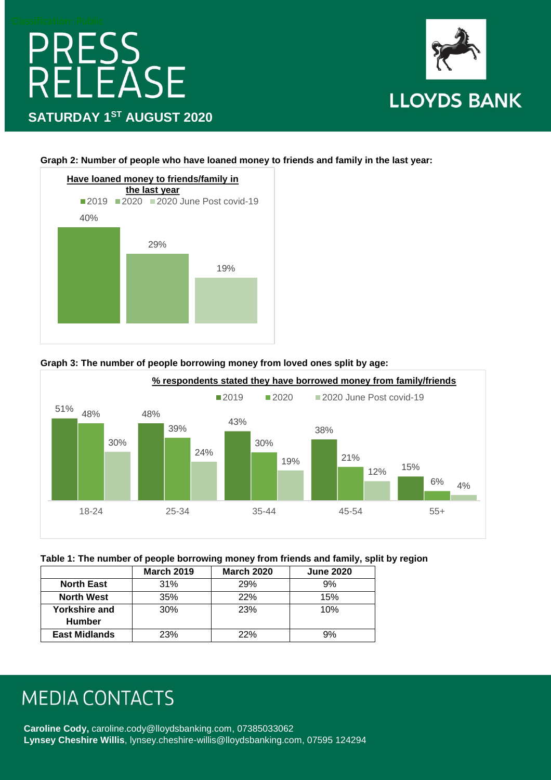# PRESS<br>RELEASE **SATURDAY 1ST AUGUST 2020**



**Graph 2: Number of people who have loaned money to friends and family in the last year:**









|                      | <b>March 2019</b> | <b>March 2020</b> | <b>June 2020</b> |
|----------------------|-------------------|-------------------|------------------|
| <b>North East</b>    | 31%               | 29%               | 9%               |
| <b>North West</b>    | 35%               | 22%               | 15%              |
| Yorkshire and        | 30%               | 23%               | 10%              |
| <b>Humber</b>        |                   |                   |                  |
| <b>East Midlands</b> | 23%               | 22%               | 9%               |

## **MEDIA CONTACTS**